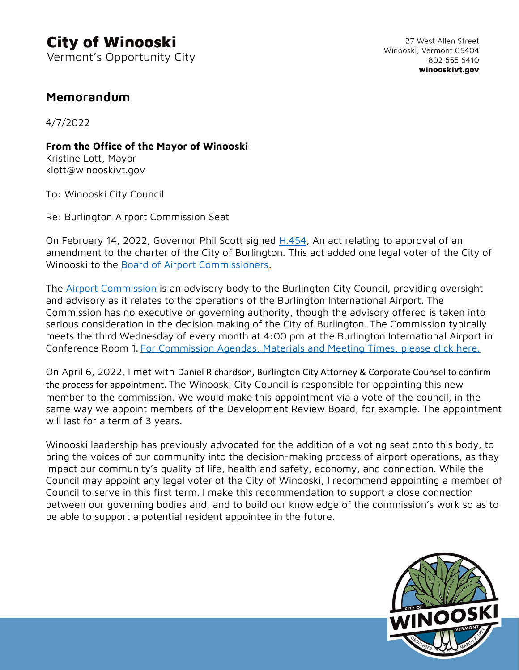## Memorandum

4/7/2022

From the Office of the Mayor of Winooski

Kristine Lott, Mayor klott@winooskivt.gov

To: Winooski City Council

Re: Burlington Airport Commission Seat

On February 14, 2022, Governor Phil Scott signed H.454, An act relating to approval of an amendment to the charter of the City of Burlington. This act added one legal voter of the City of Winooski to the Board of Airport Commissioners.

The **Airport Commission** is an advisory body to the Burlington City Council, providing oversight and advisory as it relates to the operations of the Burlington International Airport. The Commission has no executive or governing authority, though the advisory offered is taken into serious consideration in the decision making of the City of Burlington. The Commission typically meets the third Wednesday of every month at 4:00 pm at the Burlington International Airport in Conference Room 1. For Commission Agendas, Materials and Meeting Times, please click here.

On April 6, 2022, I met with Daniel Richardson, Burlington City Attorney & Corporate Counsel to confirm the process for appointment. The Winooski City Council is responsible for appointing this new member to the commission. We would make this appointment via a vote of the council, in the same way we appoint members of the Development Review Board, for example. The appointment will last for a term of 3 years.

Winooski leadership has previously advocated for the addition of a voting seat onto this body, to bring the voices of our community into the decision-making process of airport operations, as they impact our community's quality of life, health and safety, economy, and connection. While the Council may appoint any legal voter of the City of Winooski, I recommend appointing a member of Council to serve in this first term. I make this recommendation to support a close connection between our governing bodies and, and to build our knowledge of the commission's work so as to be able to support a potential resident appointee in the future.